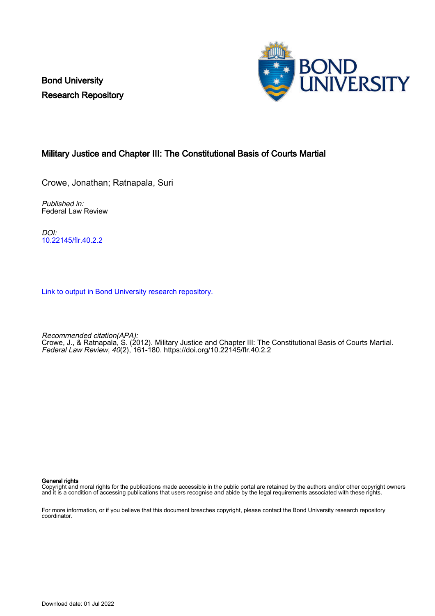Bond University Research Repository



# Military Justice and Chapter III: The Constitutional Basis of Courts Martial

Crowe, Jonathan; Ratnapala, Suri

Published in: Federal Law Review

DOI: [10.22145/flr.40.2.2](https://doi.org/10.22145/flr.40.2.2)

[Link to output in Bond University research repository.](https://research.bond.edu.au/en/publications/10f2a788-673d-403a-b9d0-4c9998ae2597)

Recommended citation(APA): Crowe, J., & Ratnapala, S. (2012). Military Justice and Chapter III: The Constitutional Basis of Courts Martial. Federal Law Review, 40(2), 161-180.<https://doi.org/10.22145/flr.40.2.2>

#### General rights

Copyright and moral rights for the publications made accessible in the public portal are retained by the authors and/or other copyright owners and it is a condition of accessing publications that users recognise and abide by the legal requirements associated with these rights.

For more information, or if you believe that this document breaches copyright, please contact the Bond University research repository coordinator.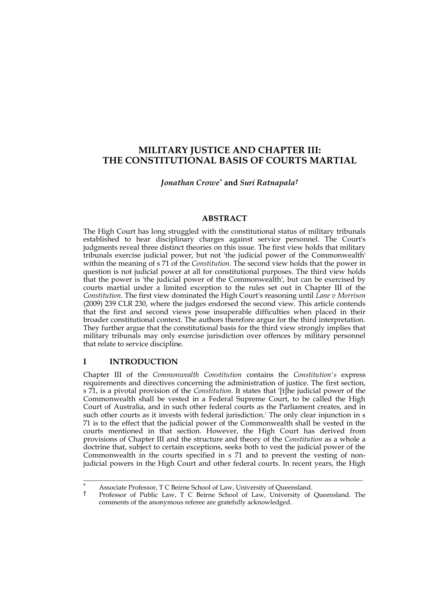# **MILITARY JUSTICE AND CHAPTER III: THE CONSTITUTIONAL BASIS OF COURTS MARTIAL**

*Jonathan Crowe\** **and** *Suri Ratnapala†*

## **ABSTRACT**

The High Court has long struggled with the constitutional status of military tribunals established to hear disciplinary charges against service personnel. The Court's judgments reveal three distinct theories on this issue. The first view holds that military tribunals exercise judicial power, but not 'the judicial power of the Commonwealth' within the meaning of s 71 of the *Constitution*. The second view holds that the power in question is not judicial power at all for constitutional purposes. The third view holds that the power is 'the judicial power of the Commonwealth', but can be exercised by courts martial under a limited exception to the rules set out in Chapter III of the *Constitution*. The first view dominated the High Court's reasoning until *Lane v Morrison* (2009) 239 CLR 230, where the judges endorsed the second view. This article contends that the first and second views pose insuperable difficulties when placed in their broader constitutional context. The authors therefore argue for the third interpretation. They further argue that the constitutional basis for the third view strongly implies that military tribunals may only exercise jurisdiction over offences by military personnel that relate to service discipline.

#### **I INTRODUCTION**

Chapter III of the *Commonwealth Constitution* contains the *Constitution's* express requirements and directives concerning the administration of justice. The first section, s 71, is a pivotal provision of the *Constitution*. It states that '[t]he judicial power of the Commonwealth shall be vested in a Federal Supreme Court, to be called the High Court of Australia, and in such other federal courts as the Parliament creates, and in such other courts as it invests with federal jurisdiction.' The only clear injunction in s 71 is to the effect that the judicial power of the Commonwealth shall be vested in the courts mentioned in that section. However, the High Court has derived from provisions of Chapter III and the structure and theory of the *Constitution* as a whole a doctrine that, subject to certain exceptions, seeks both to vest the judicial power of the Commonwealth in the courts specified in s 71 and to prevent the vesting of nonjudicial powers in the High Court and other federal courts. In recent years, the High

<sup>\*</sup> Associate Professor, T C Beirne School of Law, University of Queensland.<br>The Professor of Public Law, T C Beirne School of Law, University of

<sup>†</sup> Professor of Public Law, T C Beirne School of Law, University of Queensland. The comments of the anonymous referee are gratefully acknowledged.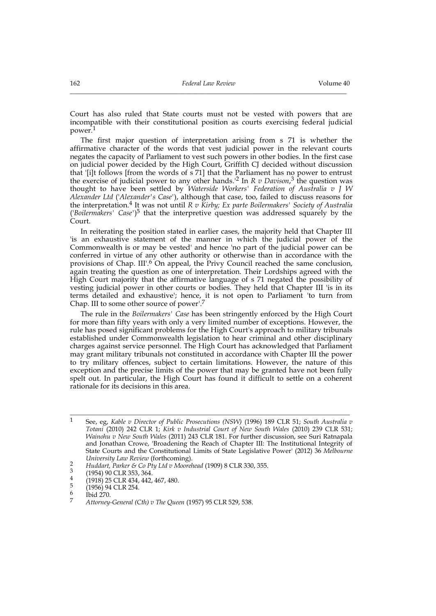Court has also ruled that State courts must not be vested with powers that are incompatible with their constitutional position as courts exercising federal judicial power.<sup>1</sup>

The first major question of interpretation arising from s 71 is whether the affirmative character of the words that vest judicial power in the relevant courts negates the capacity of Parliament to vest such powers in other bodies. In the first case on judicial power decided by the High Court, Griffith CJ decided without discussion that '[i]t follows [from the words of s 71] that the Parliament has no power to entrust the exercise of judicial power to any other hands.' <sup>2</sup> In *R v Davison*, <sup>3</sup> the question was thought to have been settled by *Waterside Workers' Federation of Australia v J W Alexander Ltd* ('*Alexander's Case'*), although that case, too, failed to discuss reasons for the interpretation. <sup>4</sup> It was not until *R v Kirby; Ex parte Boilermakers' Society of Australia*  ('*Boilermakers' Case'*) <sup>5</sup> that the interpretive question was addressed squarely by the Court.

In reiterating the position stated in earlier cases, the majority held that Chapter III 'is an exhaustive statement of the manner in which the judicial power of the Commonwealth is or may be vested' and hence 'no part of the judicial power can be conferred in virtue of any other authority or otherwise than in accordance with the provisions of Chap. III'.<sup>6</sup> On appeal, the Privy Council reached the same conclusion, again treating the question as one of interpretation. Their Lordships agreed with the High Court majority that the affirmative language of s 71 negated the possibility of vesting judicial power in other courts or bodies. They held that Chapter III 'is in its terms detailed and exhaustive'; hence, it is not open to Parliament 'to turn from<br>Chan III to some other source of nower'<sup>7</sup> Chap. III to some other source of power'.

The rule in the *Boilermakers' Case* has been stringently enforced by the High Court for more than fifty years with only a very limited number of exceptions. However, the rule has posed significant problems for the High Court's approach to military tribunals established under Commonwealth legislation to hear criminal and other disciplinary charges against service personnel. The High Court has acknowledged that Parliament may grant military tribunals not constituted in accordance with Chapter III the power to try military offences, subject to certain limitations. However, the nature of this exception and the precise limits of the power that may be granted have not been fully spelt out. In particular, the High Court has found it difficult to settle on a coherent rationale for its decisions in this area.

<sup>1</sup> See, eg, *Kable v Director of Public Prosecutions (NSW)* (1996) 189 CLR 51; *South Australia v Totani* (2010) 242 CLR 1; *Kirk v Industrial Court of New South Wales* (2010) 239 CLR 531; *Wainohu v New South Wales* (2011) 243 CLR 181. For further discussion, see Suri Ratnapala and Jonathan Crowe, 'Broadening the Reach of Chapter III: The Institutional Integrity of State Courts and the Constitutional Limits of State Legislative Power' (2012) 36 *Melbourne University Law Review* (forthcoming).

<sup>2</sup> *Huddart, Parker & Co Pty Ltd v Moorehead* (1909) 8 CLR 330, 355.

<sup>3</sup> (1954) 90 CLR 353, 364.

 $^{4}$  (1918) 25 CLR 434, 442, 467, 480.

 $^{5}$  (1956) 94 CLR 254.<br>6 Ibid 270

 $\frac{6}{7}$  Ibid 270.

<sup>7</sup> *Attorney-General (Cth) v The Queen* (1957) 95 CLR 529, 538.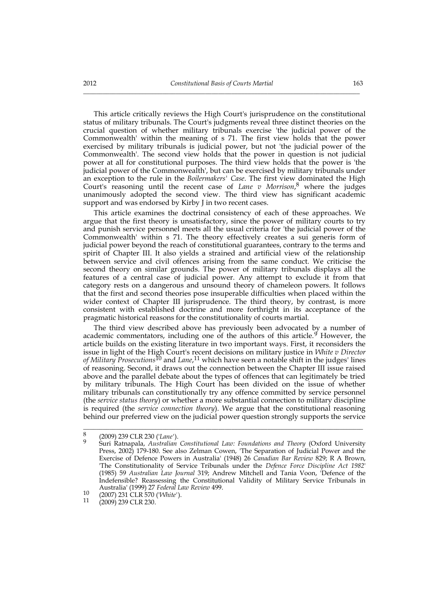This article critically reviews the High Court's jurisprudence on the constitutional status of military tribunals. The Court's judgments reveal three distinct theories on the crucial question of whether military tribunals exercise 'the judicial power of the Commonwealth' within the meaning of s 71. The first view holds that the power exercised by military tribunals is judicial power, but not 'the judicial power of the Commonwealth'. The second view holds that the power in question is not judicial power at all for constitutional purposes. The third view holds that the power is 'the judicial power of the Commonwealth', but can be exercised by military tribunals under an exception to the rule in the *Boilermakers' Case*. The first view dominated the High Court's reasoning until the recent case of *Lane v Morrison*, <sup>8</sup> where the judges unanimously adopted the second view. The third view has significant academic support and was endorsed by Kirby J in two recent cases.

This article examines the doctrinal consistency of each of these approaches. We argue that the first theory is unsatisfactory, since the power of military courts to try and punish service personnel meets all the usual criteria for 'the judicial power of the Commonwealth' within s 71. The theory effectively creates a sui generis form of judicial power beyond the reach of constitutional guarantees, contrary to the terms and spirit of Chapter III. It also yields a strained and artificial view of the relationship between service and civil offences arising from the same conduct. We criticise the second theory on similar grounds. The power of military tribunals displays all the features of a central case of judicial power. Any attempt to exclude it from that category rests on a dangerous and unsound theory of chameleon powers. It follows that the first and second theories pose insuperable difficulties when placed within the wider context of Chapter III jurisprudence. The third theory, by contrast, is more consistent with established doctrine and more forthright in its acceptance of the pragmatic historical reasons for the constitutionality of courts martial.

The third view described above has previously been advocated by a number of academic commentators, including one of the authors of this article.<sup> $\sigma$ </sup> However, the article builds on the existing literature in two important ways. First, it reconsiders the issue in light of the High Court's recent decisions on military justice in *White v Director of Military Prosecutions*<sup>10</sup> and *Lane*, <sup>11</sup> which have seen a notable shift in the judges' lines of reasoning. Second, it draws out the connection between the Chapter III issue raised above and the parallel debate about the types of offences that can legitimately be tried by military tribunals. The High Court has been divided on the issue of whether military tribunals can constitutionally try any offence committed by service personnel (the *service status theory*) or whether a more substantial connection to military discipline is required (the *service connection theory*). We argue that the constitutional reasoning behind our preferred view on the judicial power question strongly supports the service

<sup>8</sup> (2009) 239 CLR 230 ('*Lane'*).

<sup>9</sup> Suri Ratnapala, *Australian Constitutional Law: Foundations and Theory* (Oxford University Press, 2002) 179-180. See also Zelman Cowen, 'The Separation of Judicial Power and the Exercise of Defence Powers in Australia' (1948) 26 *Canadian Bar Review* 829; R A Brown, 'The Constitutionality of Service Tribunals under the *Defence Force Discipline Act 1982*' (1985) 59 *Australian Law Journal* 319; Andrew Mitchell and Tania Voon, 'Defence of the Indefensible? Reassessing the Constitutional Validity of Military Service Tribunals in Australia' (1999) 27 *Federal Law Review* 499.

<sup>10</sup> (2007) 231 CLR 570 ('*White'*).

<sup>(2009) 239</sup> CLR 230.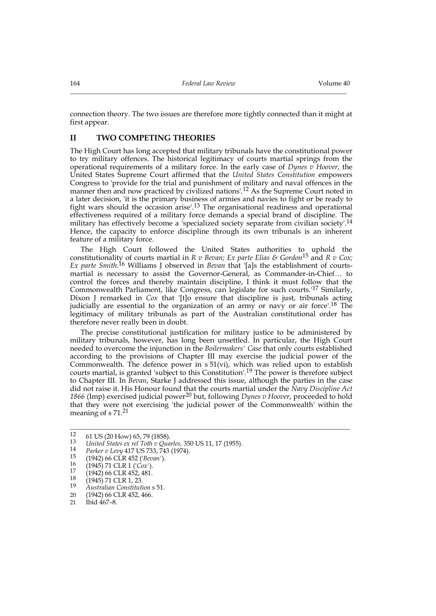connection theory. The two issues are therefore more tightly connected than it might at first appear.

### **II TWO COMPETING THEORIES**

The High Court has long accepted that military tribunals have the constitutional power to try military offences. The historical legitimacy of courts martial springs from the operational requirements of a military force. In the early case of *Dynes v Hoover*, the United States Supreme Court affirmed that the *United States Constitution* empowers Congress to 'provide for the trial and punishment of military and naval offences in the manner then and now practiced by civilized nations'. <sup>12</sup> As the Supreme Court noted in a later decision, 'it is the primary business of armies and navies to fight or be ready to fight wars should the occasion arise'.<sup>13</sup> The organisational readiness and operational effectiveness required of a military force demands a special brand of discipline. The military has effectively become a 'specialized society separate from civilian society'.<sup>14</sup> Hence, the capacity to enforce discipline through its own tribunals is an inherent feature of a military force.

The High Court followed the United States authorities to uphold the constitutionality of courts martial in *R v Bevan; Ex parte Elias & Gordon*<sup>15</sup> and *R v Cox; Ex parte Smith*. <sup>16</sup> Williams J observed in *Bevan* that '[a]s the establishment of courtsmartial is necessary to assist the Governor-General, as Commander-in-Chief… to control the forces and thereby maintain discipline, I think it must follow that the Commonwealth Parliament, like Congress, can legislate for such courts.<sup>17</sup> Similarly, Dixon J remarked in *Cox* that '[t]o ensure that discipline is just, tribunals acting judicially are essential to the organization of an army or navy or air force'.<sup>18</sup> The legitimacy of military tribunals as part of the Australian constitutional order has therefore never really been in doubt.

The precise constitutional justification for military justice to be administered by military tribunals, however, has long been unsettled. In particular, the High Court needed to overcome the injunction in the *Boilermakers' Case* that only courts established according to the provisions of Chapter III may exercise the judicial power of the Commonwealth. The defence power in  $s 51$ (vi), which was relied upon to establish courts martial, is granted 'subject to this Constitution'. <sup>19</sup> The power is therefore subject to Chapter III. In *Bevan*, Starke J addressed this issue, although the parties in the case did not raise it. His Honour found that the courts martial under the *Navy Discipline Act 1866* (Imp) exercised judicial power<sup>20</sup> but, following *Dynes v Hoover*, proceeded to hold that they were not exercising 'the judicial power of the Commonwealth' within the meaning of s 71.<sup>21</sup>

<sup>12</sup> 61 US (20 How) 65, 79 (1858).

<sup>13</sup> *United States ex rel Toth v Quarles,* 350 US 11, 17 (1955).

<sup>14</sup> *Parker v Levy* 417 US 733, 743 (1974).

<sup>15</sup> (1942) 66 CLR 452 ('*Bevan'*).

<sup>16</sup> (1945) 71 CLR 1 ('*Cox'*).

 $^{17}$  (1942) 66 CLR 452, 481.

 $18$  (1945) 71 CLR 1, 23.

<sup>19</sup> *Australian Constitution* s 51. 20 (1942) 66 CLR 452, 466.

<sup>21</sup> Ibid 467–8.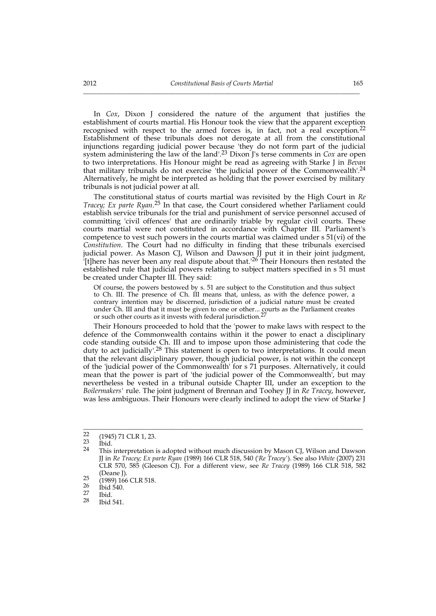In *Cox*, Dixon J considered the nature of the argument that justifies the establishment of courts martial. His Honour took the view that the apparent exception recognised with respect to the armed forces is, in fact, not a real exception.<sup>22</sup> Establishment of these tribunals does not derogate at all from the constitutional injunctions regarding judicial power because 'they do not form part of the judicial system administering the law of the land'. <sup>23</sup> Dixon J's terse comments in *Cox* are open to two interpretations. His Honour might be read as agreeing with Starke J in *Bevan* that military tribunals do not exercise 'the judicial power of the Commonwealth'. 24 Alternatively, he might be interpreted as holding that the power exercised by military tribunals is not judicial power at all.

The constitutional status of courts martial was revisited by the High Court in *Re Tracey; Ex parte Ryan*. <sup>25</sup> In that case, the Court considered whether Parliament could establish service tribunals for the trial and punishment of service personnel accused of committing 'civil offences' that are ordinarily triable by regular civil courts. These courts martial were not constituted in accordance with Chapter III. Parliament's competence to vest such powers in the courts martial was claimed under s 51(vi) of the *Constitution*. The Court had no difficulty in finding that these tribunals exercised judicial power. As Mason CJ, Wilson and Dawson JJ put it in their joint judgment, '[t]here has never been any real dispute about that.' <sup>26</sup> Their Honours then restated the established rule that judicial powers relating to subject matters specified in s 51 must be created under Chapter III. They said:

Of course, the powers bestowed by s. 51 are subject to the Constitution and thus subject to Ch. III. The presence of Ch. III means that, unless, as with the defence power, a contrary intention may be discerned, jurisdiction of a judicial nature must be created under Ch. III and that it must be given to one or other... courts as the Parliament creates or such other courts as it invests with federal jurisdiction.<sup>27</sup>

Their Honours proceeded to hold that the 'power to make laws with respect to the defence of the Commonwealth contains within it the power to enact a disciplinary code standing outside Ch. III and to impose upon those administering that code the duty to act judicially'.<sup>28</sup> This statement is open to two interpretations. It could mean that the relevant disciplinary power, though judicial power, is not within the concept of the 'judicial power of the Commonwealth' for s 71 purposes. Alternatively, it could mean that the power is part of 'the judicial power of the Commonwealth', but may nevertheless be vested in a tribunal outside Chapter III, under an exception to the *Boilermakers'* rule. The joint judgment of Brennan and Toohey JJ in *Re Tracey*, however, was less ambiguous. Their Honours were clearly inclined to adopt the view of Starke J

 $\frac{22}{23}$  (1945) 71 CLR 1, 23.

 $\frac{23}{24}$  Ibid.

<sup>24</sup> This interpretation is adopted without much discussion by Mason CJ, Wilson and Dawson JJ in *Re Tracey; Ex parte Ryan* (1989) 166 CLR 518, 540 ('*Re Tracey'*). See also *White* (2007) 231 CLR 570, 585 (Gleeson CJ). For a different view, see *Re Tracey* (1989) 166 CLR 518, 582 (Deane J).

 $\frac{(25)(1989)}{1989}$  166 CLR 518.

 $\frac{26}{27}$  Ibid 540.

 $\frac{27}{28}$  Ibid.

Ibid 541.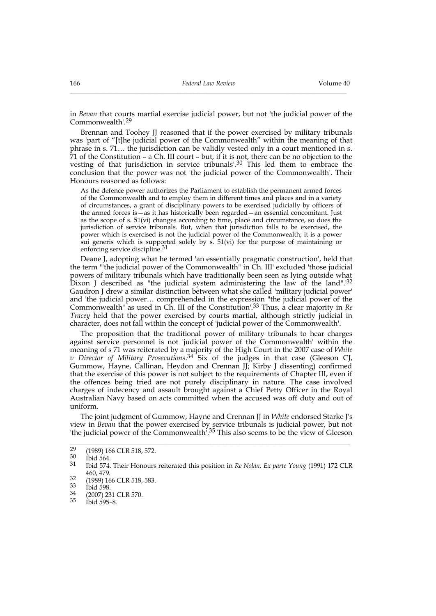in *Bevan* that courts martial exercise judicial power, but not 'the judicial power of the Commonwealth'. 29

Brennan and Toohey JJ reasoned that if the power exercised by military tribunals was 'part of "[t]he judicial power of the Commonwealth" within the meaning of that phrase in s. 71… the jurisdiction can be validly vested only in a court mentioned in s.  $71$  of the Constitution – a Ch. III court – but, if it is not, there can be no objection to the vesting of that jurisdiction in service tribunals'.<sup>30</sup> This led them to embrace the conclusion that the power was not 'the judicial power of the Commonwealth'. Their Honours reasoned as follows:

As the defence power authorizes the Parliament to establish the permanent armed forces of the Commonwealth and to employ them in different times and places and in a variety of circumstances, a grant of disciplinary powers to be exercised judicially by officers of the armed forces is—as it has historically been regarded—an essential concomitant. Just as the scope of s. 51(vi) changes according to time, place and circumstance, so does the jurisdiction of service tribunals. But, when that jurisdiction falls to be exercised, the power which is exercised is not the judicial power of the Commonwealth; it is a power sui generis which is supported solely by s. 51(vi) for the purpose of maintaining or enforcing service discipline.31

Deane J, adopting what he termed 'an essentially pragmatic construction', held that the term '"the judicial power of the Commonwealth" in Ch. III' excluded 'those judicial powers of military tribunals which have traditionally been seen as lying outside what Dixon J described as "the judicial system administering the law of the land".<sup>132</sup> Gaudron J drew a similar distinction between what she called 'military judicial power' and 'the judicial power… comprehended in the expression "the judicial power of the Commonwealth" as used in Ch. III of the Constitution'. <sup>33</sup> Thus, a clear majority in *Re Tracey* held that the power exercised by courts martial, although strictly judicial in character, does not fall within the concept of 'judicial power of the Commonwealth'.

The proposition that the traditional power of military tribunals to hear charges against service personnel is not 'judicial power of the Commonwealth' within the meaning of s 71 was reiterated by a majority of the High Court in the 2007 case of *White v Director of Military Prosecutions*. <sup>34</sup> Six of the judges in that case (Gleeson CJ, Gummow, Hayne, Callinan, Heydon and Crennan JJ, Kirby J dissenting) confirmed that the exercise of this power is not subject to the requirements of Chapter III, even if the offences being tried are not purely disciplinary in nature. The case involved charges of indecency and assault brought against a Chief Petty Officer in the Royal Australian Navy based on acts committed when the accused was off duty and out of uniform.

The joint judgment of Gummow, Hayne and Crennan JJ in *White* endorsed Starke J's view in *Bevan* that the power exercised by service tribunals is judicial power, but not 'the judicial power of the Commonwealth'. <sup>35</sup> This also seems to be the view of Gleeson

 $\frac{29}{1989}$  (1989) 166 CLR 518, 572.

 $\frac{30}{31}$  Ibid 564.

<sup>31</sup> Ibid 574. Their Honours reiterated this position in *Re Nolan; Ex parte Young* (1991) 172 CLR 460, 479.

 $\frac{32}{33}$  (1989) 166 CLR 518, 583.

 $\frac{33}{34}$  Ibid 598.

 $\frac{34}{35}$  (2007) 231 CLR 570.

<sup>35</sup> Ibid 595–8.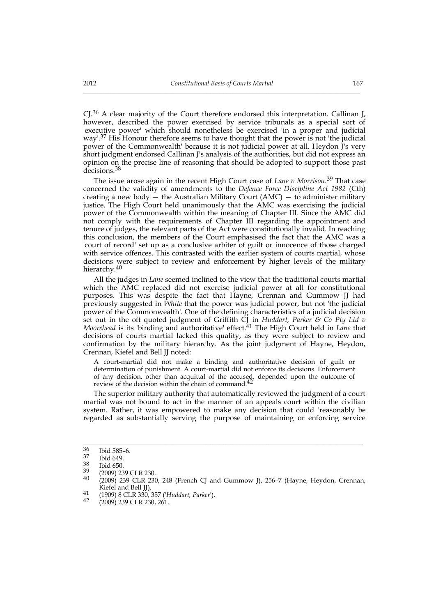$CI<sup>36</sup>$  A clear majority of the Court therefore endorsed this interpretation. Callinan L however, described the power exercised by service tribunals as a special sort of 'executive power' which should nonetheless be exercised 'in a proper and judicial way'.<sup>37</sup> His Honour therefore seems to have thought that the power is not 'the judicial power of the Commonwealth' because it is not judicial power at all. Heydon J's very short judgment endorsed Callinan J's analysis of the authorities, but did not express an opinion on the precise line of reasoning that should be adopted to support those past decisions.<sup>38</sup>

The issue arose again in the recent High Court case of *Lane v Morrison*. <sup>39</sup> That case concerned the validity of amendments to the *Defence Force Discipline Act 1982* (Cth) creating a new body  $-$  the Australian Military Court (AMC)  $-$  to administer military justice. The High Court held unanimously that the AMC was exercising the judicial power of the Commonwealth within the meaning of Chapter III. Since the AMC did not comply with the requirements of Chapter III regarding the appointment and tenure of judges, the relevant parts of the Act were constitutionally invalid. In reaching this conclusion, the members of the Court emphasised the fact that the AMC was a 'court of record' set up as a conclusive arbiter of guilt or innocence of those charged with service offences. This contrasted with the earlier system of courts martial, whose decisions were subject to review and enforcement by higher levels of the military hierarchy.<sup>40</sup>

All the judges in *Lane* seemed inclined to the view that the traditional courts martial which the AMC replaced did not exercise judicial power at all for constitutional purposes. This was despite the fact that Hayne, Crennan and Gummow JJ had previously suggested in *White* that the power was judicial power, but not 'the judicial power of the Commonwealth'. One of the defining characteristics of a judicial decision set out in the oft quoted judgment of Griffith CJ in *Huddart, Parker & Co Pty Ltd v Moorehead* is its 'binding and authoritative' effect.<sup>41</sup> The High Court held in *Lane* that decisions of courts martial lacked this quality, as they were subject to review and confirmation by the military hierarchy. As the joint judgment of Hayne, Heydon, Crennan, Kiefel and Bell JJ noted:

A court-martial did not make a binding and authoritative decision of guilt or determination of punishment. A court-martial did not enforce its decisions. Enforcement of any decision, other than acquittal of the accused, depended upon the outcome of review of the decision within the chain of command.<sup>42</sup>

The superior military authority that automatically reviewed the judgment of a court martial was not bound to act in the manner of an appeals court within the civilian system. Rather, it was empowered to make any decision that could 'reasonably be regarded as substantially serving the purpose of maintaining or enforcing service

 $\frac{36}{37}$  Ibid 585-6.

 $\frac{37}{38}$  Ibid 649.

 $\frac{38}{39}$  Ibid 650.

 $\frac{39}{40}$  (2009) 239 CLR 230.

<sup>40</sup> (2009) 239 CLR 230, 248 (French CJ and Gummow J), 256–7 (Hayne, Heydon, Crennan, Kiefel and Bell JJ).

<sup>41</sup> (1909) 8 CLR 330, 357 ('*Huddart, Parker*').

<sup>42</sup> (2009) 239 CLR 230, 261.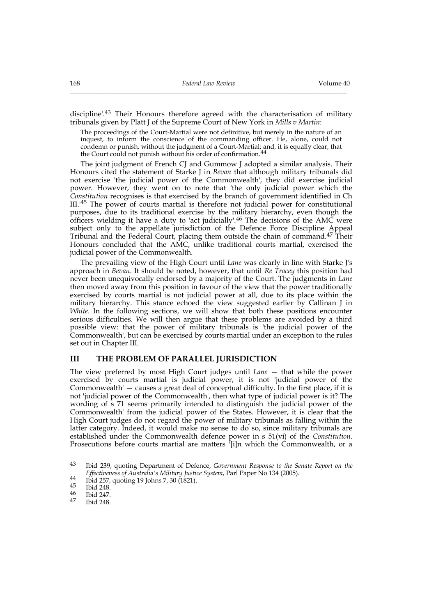discipline'.<sup>43</sup> Their Honours therefore agreed with the characterisation of military tribunals given by Platt J of the Supreme Court of New York in *Mills v Martin*:

The proceedings of the Court-Martial were not definitive, but merely in the nature of an inquest, to inform the conscience of the commanding officer. He, alone, could not condemn or punish, without the judgment of a Court-Martial; and, it is equally clear, that the Court could not punish without his order of confirmation.44

The joint judgment of French CJ and Gummow J adopted a similar analysis. Their Honours cited the statement of Starke J in *Bevan* that although military tribunals did not exercise 'the judicial power of the Commonwealth', they did exercise judicial power. However, they went on to note that 'the only judicial power which the *Constitution* recognises is that exercised by the branch of government identified in Ch III.<sup>45</sup> The power of courts martial is therefore not judicial power for constitutional purposes, due to its traditional exercise by the military hierarchy, even though the officers wielding it have a duty to 'act judicially'. <sup>46</sup> The decisions of the AMC were subject only to the appellate jurisdiction of the Defence Force Discipline Appeal Tribunal and the Federal Court, placing them outside the chain of command.<sup>47</sup> Their Honours concluded that the AMC, unlike traditional courts martial, exercised the judicial power of the Commonwealth.

The prevailing view of the High Court until *Lane* was clearly in line with Starke J's approach in *Bevan*. It should be noted, however, that until *Re Tracey* this position had never been unequivocally endorsed by a majority of the Court. The judgments in *Lane* then moved away from this position in favour of the view that the power traditionally exercised by courts martial is not judicial power at all, due to its place within the military hierarchy. This stance echoed the view suggested earlier by Callinan J in *White*. In the following sections, we will show that both these positions encounter serious difficulties. We will then argue that these problems are avoided by a third possible view: that the power of military tribunals is 'the judicial power of the Commonwealth', but can be exercised by courts martial under an exception to the rules set out in Chapter III.

### **III THE PROBLEM OF PARALLEL JURISDICTION**

The view preferred by most High Court judges until *Lane* — that while the power exercised by courts martial is judicial power, it is not 'judicial power of the Commonwealth' — causes a great deal of conceptual difficulty. In the first place, if it is not 'judicial power of the Commonwealth', then what type of judicial power is it? The wording of s 71 seems primarily intended to distinguish 'the judicial power of the Commonwealth' from the judicial power of the States. However, it is clear that the High Court judges do not regard the power of military tribunals as falling within the latter category. Indeed, it would make no sense to do so, since military tribunals are established under the Commonwealth defence power in s 51(vi) of the *Constitution*. Prosecutions before courts martial are matters [i]n which the Commonwealth, or a

 $\Box$ 43 Ibid 239, quoting Department of Defence, *Government Response to the Senate Report on the Effectiveness of Australia's Military Justice System*, Parl Paper No 134 (2005)*.*

<sup>44</sup> Ibid 257, quoting 19 Johns 7, 30 (1821).<br> $45$ Ibid 278

 $\frac{45}{46}$  Ibid 248.

 $\frac{46}{47}$  Ibid 247.

Ibid 248.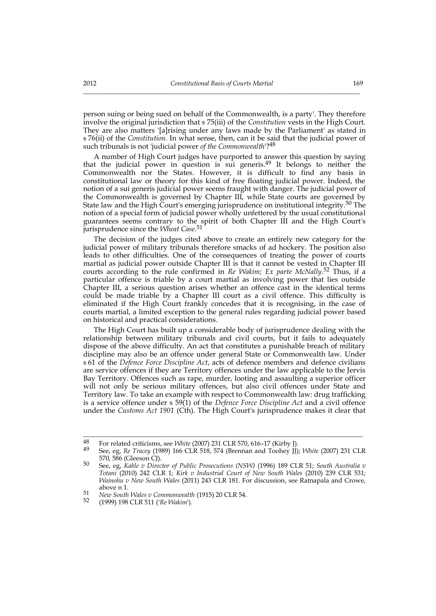person suing or being sued on behalf of the Commonwealth, is a party'. They therefore involve the original jurisdiction that s 75(iii) of the *Constitution* vests in the High Court. They are also matters '[a]rising under any laws made by the Parliament' as stated in s 76(ii) of the *Constitution*. In what sense, then, can it be said that the judicial power of such tribunals is not 'judicial power *of the Commonwealth*'? 48

A number of High Court judges have purported to answer this question by saying that the judicial power in question is sui generis. <sup>49</sup> It belongs to neither the Commonwealth nor the States. However, it is difficult to find any basis in constitutional law or theory for this kind of free floating judicial power. Indeed, the notion of a sui generis judicial power seems fraught with danger. The judicial power of the Commonwealth is governed by Chapter III, while State courts are governed by State law and the High Court's emerging jurisprudence on institutional integrity.<sup>50</sup> The notion of a special form of judicial power wholly unfettered by the usual constitutional guarantees seems contrary to the spirit of both Chapter III and the High Court's jurisprudence since the *Wheat Case*. 51

The decision of the judges cited above to create an entirely new category for the judicial power of military tribunals therefore smacks of ad hockery. The position also leads to other difficulties. One of the consequences of treating the power of courts martial as judicial power outside Chapter III is that it cannot be vested in Chapter III courts according to the rule confirmed in *Re Wakim; Ex parte McNally*. <sup>52</sup> Thus, if a particular offence is triable by a court martial as involving power that lies outside Chapter III, a serious question arises whether an offence cast in the identical terms could be made triable by a Chapter III court as a civil offence. This difficulty is eliminated if the High Court frankly concedes that it is recognising, in the case of courts martial, a limited exception to the general rules regarding judicial power based on historical and practical considerations.

The High Court has built up a considerable body of jurisprudence dealing with the relationship between military tribunals and civil courts, but it fails to adequately dispose of the above difficulty. An act that constitutes a punishable breach of military discipline may also be an offence under general State or Commonwealth law. Under s 61 of the *Defence Force Discipline Act*, acts of defence members and defence civilians are service offences if they are Territory offences under the law applicable to the Jervis Bay Territory. Offences such as rape, murder, looting and assaulting a superior officer will not only be serious military offences, but also civil offences under State and Territory law. To take an example with respect to Commonwealth law: drug trafficking is a service offence under s 59(1) of the *Defence Force Discipline Act* and a civil offence under the *Customs Act 1901* (Cth). The High Court's jurisprudence makes it clear that

<sup>48</sup> For related criticisms, see *White* (2007) 231 CLR 570, 616–17 (Kirby J).

<sup>49</sup> See, eg, *Re Tracey* (1989) 166 CLR 518, 574 (Brennan and Toohey JJ); *White* (2007) 231 CLR 570, 586 (Gleeson CJ).

<sup>50</sup> See, eg, *Kable v Director of Public Prosecutions (NSW)* (1996) 189 CLR 51; *South Australia v Totani* (2010) 242 CLR 1; *Kirk v Industrial Court of New South Wales* (2010) 239 CLR 531; *Wainohu v New South Wales* (2011) 243 CLR 181. For discussion, see Ratnapala and Crowe, above n 1.

<sup>51</sup> *New South Wales v Commonwealth* (1915) 20 CLR 54.

<sup>52</sup> (1999) 198 CLR 511 ('*Re Wakim*').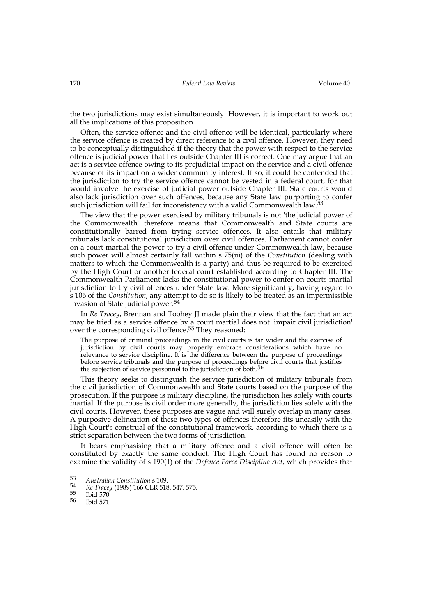the two jurisdictions may exist simultaneously. However, it is important to work out all the implications of this proposition.

Often, the service offence and the civil offence will be identical, particularly where the service offence is created by direct reference to a civil offence. However, they need to be conceptually distinguished if the theory that the power with respect to the service offence is judicial power that lies outside Chapter III is correct. One may argue that an act is a service offence owing to its prejudicial impact on the service and a civil offence because of its impact on a wider community interest. If so, it could be contended that the jurisdiction to try the service offence cannot be vested in a federal court, for that would involve the exercise of judicial power outside Chapter III. State courts would also lack jurisdiction over such offences, because any State law purporting to confer such jurisdiction will fail for inconsistency with a valid Commonwealth law.

The view that the power exercised by military tribunals is not 'the judicial power of the Commonwealth' therefore means that Commonwealth and State courts are constitutionally barred from trying service offences. It also entails that military tribunals lack constitutional jurisdiction over civil offences. Parliament cannot confer on a court martial the power to try a civil offence under Commonwealth law, because such power will almost certainly fall within s 75(iii) of the *Constitution* (dealing with matters to which the Commonwealth is a party) and thus be required to be exercised by the High Court or another federal court established according to Chapter III. The Commonwealth Parliament lacks the constitutional power to confer on courts martial jurisdiction to try civil offences under State law. More significantly, having regard to s 106 of the *Constitution*, any attempt to do so is likely to be treated as an impermissible invasion of State judicial power.<sup>54</sup>

In *Re Tracey*, Brennan and Toohey JJ made plain their view that the fact that an act may be tried as a service offence by a court martial does not 'impair civil jurisdiction' over the corresponding civil offence.<sup>55</sup> They reasoned:

The purpose of criminal proceedings in the civil courts is far wider and the exercise of jurisdiction by civil courts may properly embrace considerations which have no relevance to service discipline. It is the difference between the purpose of proceedings before service tribunals and the purpose of proceedings before civil courts that justifies the subjection of service personnel to the jurisdiction of both.<sup>56</sup>

This theory seeks to distinguish the service jurisdiction of military tribunals from the civil jurisdiction of Commonwealth and State courts based on the purpose of the prosecution. If the purpose is military discipline, the jurisdiction lies solely with courts martial. If the purpose is civil order more generally, the jurisdiction lies solely with the civil courts. However, these purposes are vague and will surely overlap in many cases. A purposive delineation of these two types of offences therefore fits uneasily with the High Court's construal of the constitutional framework, according to which there is a strict separation between the two forms of jurisdiction.

It bears emphasising that a military offence and a civil offence will often be constituted by exactly the same conduct. The High Court has found no reason to examine the validity of s 190(1) of the *Defence Force Discipline Act*, which provides that

<sup>53</sup> *Australian Constitution* s 109.

<sup>54</sup> *Re Tracey* (1989) 166 CLR 518, 547, 575.

 $\frac{55}{56}$  Ibid 570.

<sup>56</sup> Ibid 571.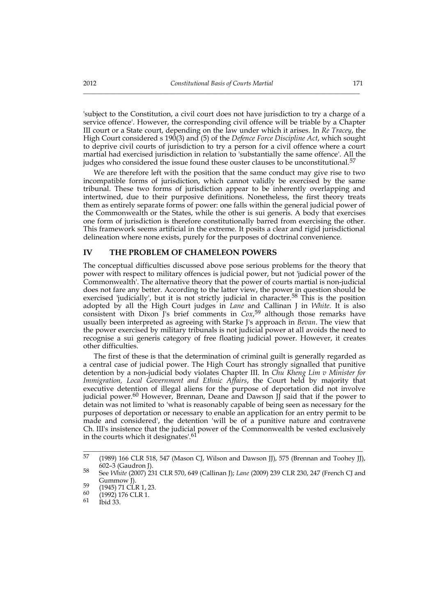'subject to the Constitution, a civil court does not have jurisdiction to try a charge of a service offence'. However, the corresponding civil offence will be triable by a Chapter III court or a State court, depending on the law under which it arises. In *Re Tracey*, the High Court considered s 190(3) and (5) of the *Defence Force Discipline Act*, which sought to deprive civil courts of jurisdiction to try a person for a civil offence where a court martial had exercised jurisdiction in relation to 'substantially the same offence'. All the judges who considered the issue found these ouster clauses to be unconstitutional.<sup>57</sup>

We are therefore left with the position that the same conduct may give rise to two incompatible forms of jurisdiction, which cannot validly be exercised by the same tribunal. These two forms of jurisdiction appear to be inherently overlapping and intertwined, due to their purposive definitions. Nonetheless, the first theory treats them as entirely separate forms of power: one falls within the general judicial power of the Commonwealth or the States, while the other is sui generis. A body that exercises one form of jurisdiction is therefore constitutionally barred from exercising the other. This framework seems artificial in the extreme. It posits a clear and rigid jurisdictional delineation where none exists, purely for the purposes of doctrinal convenience.

#### **IV THE PROBLEM OF CHAMELEON POWERS**

The conceptual difficulties discussed above pose serious problems for the theory that power with respect to military offences is judicial power, but not 'judicial power of the Commonwealth'. The alternative theory that the power of courts martial is non-judicial does not fare any better. According to the latter view, the power in question should be exercised 'judicially', but it is not strictly judicial in character.<sup>58</sup> This is the position adopted by all the High Court judges in *Lane* and Callinan J in *White*. It is also consistent with Dixon J's brief comments in *Cox*, <sup>59</sup> although those remarks have usually been interpreted as agreeing with Starke J's approach in *Bevan*. The view that the power exercised by military tribunals is not judicial power at all avoids the need to recognise a sui generis category of free floating judicial power. However, it creates other difficulties.

The first of these is that the determination of criminal guilt is generally regarded as a central case of judicial power. The High Court has strongly signalled that punitive detention by a non-judicial body violates Chapter III. In *Chu Kheng Lim v Minister for Immigration, Local Government and Ethnic Affairs*, the Court held by majority that executive detention of illegal aliens for the purpose of deportation did not involve judicial power.<sup>60</sup> However, Brennan, Deane and Dawson JJ said that if the power to detain was not limited to 'what is reasonably capable of being seen as necessary for the purposes of deportation or necessary to enable an application for an entry permit to be made and considered', the detention 'will be of a punitive nature and contravene Ch. III's insistence that the judicial power of the Commonwealth be vested exclusively in the courts which it designates'. 61

 $\_$  ,  $\_$  ,  $\_$  ,  $\_$  ,  $\_$  ,  $\_$  ,  $\_$  ,  $\_$  ,  $\_$  ,  $\_$  ,  $\_$  ,  $\_$  ,  $\_$  ,  $\_$  ,  $\_$  ,  $\_$  ,  $\_$  ,  $\_$  ,  $\_$  ,  $\_$  ,  $\_$  ,  $\_$  ,  $\_$  ,  $\_$  ,  $\_$  ,  $\_$  ,  $\_$  ,  $\_$  ,  $\_$  ,  $\_$  ,  $\_$  ,  $\_$  ,  $\_$  ,  $\_$  ,  $\_$  ,  $\_$  ,  $\_$  , 57 (1989) 166 CLR 518, 547 (Mason CJ, Wilson and Dawson JJ), 575 (Brennan and Toohey JJ), 602–3 (Gaudron J).

<sup>58</sup> See *White* (2007) 231 CLR 570, 649 (Callinan J); *Lane* (2009) 239 CLR 230, 247 (French CJ and Gummow J).

 $\frac{59}{(1945)}$   $\frac{71 \text{ CLR}}{71 \text{ CLR}}$  1, 23.

 $^{60}$  (1992) 176 CLR 1.<br>61 Ibid 33

Ibid 33.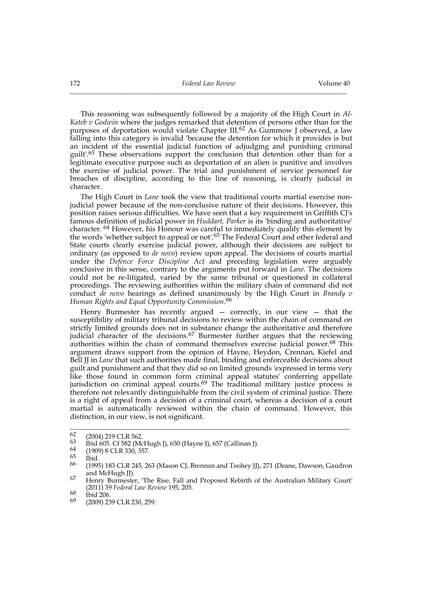172 *Federal Law Review* Volume 40  $\_$  ,  $\_$  ,  $\_$  ,  $\_$  ,  $\_$  ,  $\_$  ,  $\_$  ,  $\_$  ,  $\_$  ,  $\_$  ,  $\_$  ,  $\_$  ,  $\_$  ,  $\_$  ,  $\_$  ,  $\_$  ,  $\_$  ,  $\_$  ,  $\_$  ,  $\_$  ,  $\_$  ,  $\_$  ,  $\_$  ,  $\_$  ,  $\_$  ,  $\_$  ,  $\_$  ,  $\_$  ,  $\_$  ,  $\_$  ,  $\_$  ,  $\_$  ,  $\_$  ,  $\_$  ,  $\_$  ,  $\_$  ,  $\_$  ,

This reasoning was subsequently followed by a majority of the High Court in *Al-Kateb v Godwin* where the judges remarked that detention of persons other than for the purposes of deportation would violate Chapter III.<sup>62</sup> As Gummow J observed, a law falling into this category is invalid 'because the detention for which it provides is but an incident of the essential judicial function of adjudging and punishing criminal guilt'. <sup>63</sup> These observations support the conclusion that detention other than for a legitimate executive purpose such as deportation of an alien is punitive and involves the exercise of judicial power. The trial and punishment of service personnel for breaches of discipline, according to this line of reasoning, is clearly judicial in character.

The High Court in *Lane* took the view that traditional courts martial exercise nonjudicial power because of the non-conclusive nature of their decisions. However, this position raises serious difficulties. We have seen that a key requirement in Griffith CJ's famous definition of judicial power in *Huddart, Parker* is its 'binding and authoritative' character. <sup>64</sup> However, his Honour was careful to immediately qualify this element by the words 'whether subject to appeal or not'.<sup>65</sup> The Federal Court and other federal and State courts clearly exercise judicial power, although their decisions are subject to ordinary (as opposed to *de novo*) review upon appeal. The decisions of courts martial under the *Defence Force Discipline Act* and preceding legislation were arguably conclusive in this sense, contrary to the arguments put forward in *Lane*. The decisions could not be re-litigated, varied by the same tribunal or questioned in collateral proceedings. The reviewing authorities within the military chain of command did not conduct *de novo* hearings as defined unanimously by the High Court in *Brandy v Human Rights and Equal Opportunity Commission*. 66

Henry Burmester has recently argued — correctly, in our view — that the susceptibility of military tribunal decisions to review within the chain of command on strictly limited grounds does not in substance change the authoritative and therefore judicial character of the decisions.<sup>67</sup> Burmester further argues that the reviewing authorities within the chain of command themselves exercise judicial power.<sup>68</sup> This argument draws support from the opinion of Hayne, Heydon, Crennan, Kiefel and Bell JJ in *Lane* that such authorities made final, binding and enforceable decisions about guilt and punishment and that they did so on limited grounds 'expressed in terms very like those found in common form criminal appeal statutes' conferring appellate jurisdiction on criminal appeal courts.<sup>69</sup> The traditional military justice process is therefore not relevantly distinguishable from the civil system of criminal justice. There is a right of appeal from a decision of a criminal court, whereas a decision of a court martial is automatically reviewed within the chain of command. However, this distinction, in our view, is not significant.

 $^{62}$  (2004) 219 CLR 562.<br>
<sup>63</sup> Ibid 605 Cf 582 (Mc

 $^{63}$  Ibid 605. Cf 582 (McHugh J), 650 (Hayne J), 657 (Callinan J).<br>64 (1000) 8 CLB 220, 257

 $^{64}$  (1909) 8 CLR 330, 357.

 $^{65}$  Ibid.<br> $^{66}$  (100

<sup>66</sup> (1995) 183 CLR 245, 263 (Mason CJ, Brennan and Toohey JJ), 271 (Deane, Dawson, Gaudron and McHugh JJ).

<sup>67</sup> Henry Burmester, 'The Rise, Fall and Proposed Rebirth of the Australian Military Court' (2011) 39 *Federal Law Review* 195, 205.

 $^{68}$  Ibid 206.<br> $^{69}$  (2000) 23

<sup>(2009) 239</sup> CLR 230, 259.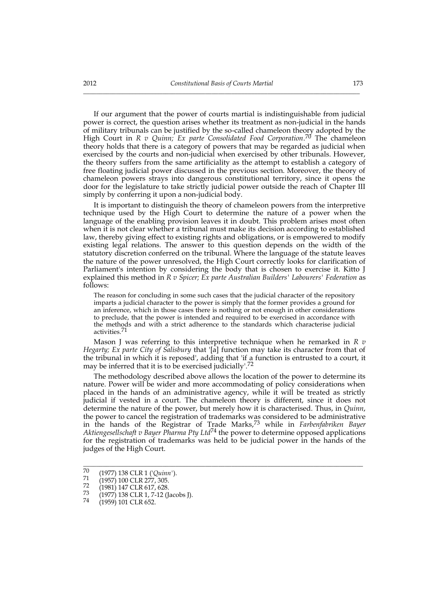If our argument that the power of courts martial is indistinguishable from judicial power is correct, the question arises whether its treatment as non-judicial in the hands of military tribunals can be justified by the so-called chameleon theory adopted by the High Court in *R v Quinn; Ex parte Consolidated Food Corporation*. <sup>70</sup> The chameleon theory holds that there is a category of powers that may be regarded as judicial when exercised by the courts and non-judicial when exercised by other tribunals. However, the theory suffers from the same artificiality as the attempt to establish a category of free floating judicial power discussed in the previous section. Moreover, the theory of chameleon powers strays into dangerous constitutional territory, since it opens the door for the legislature to take strictly judicial power outside the reach of Chapter III simply by conferring it upon a non-judicial body.

It is important to distinguish the theory of chameleon powers from the interpretive technique used by the High Court to determine the nature of a power when the language of the enabling provision leaves it in doubt. This problem arises most often when it is not clear whether a tribunal must make its decision according to established law, thereby giving effect to existing rights and obligations, or is empowered to modify existing legal relations. The answer to this question depends on the width of the statutory discretion conferred on the tribunal. Where the language of the statute leaves the nature of the power unresolved, the High Court correctly looks for clarification of Parliament's intention by considering the body that is chosen to exercise it. Kitto J explained this method in *R v Spicer; Ex parte Australian Builders' Labourers' Federation* as follows:

The reason for concluding in some such cases that the judicial character of the repository imparts a judicial character to the power is simply that the former provides a ground for an inference, which in those cases there is nothing or not enough in other considerations to preclude, that the power is intended and required to be exercised in accordance with the methods and with a strict adherence to the standards which characterise judicial activities.71

Mason J was referring to this interpretive technique when he remarked in *R v Hegarty; Ex parte City of Salisbury* that '[a] function may take its character from that of the tribunal in which it is reposed', adding that 'if a function is entrusted to a court, it may be inferred that it is to be exercised judicially'. 72

The methodology described above allows the location of the power to determine its nature. Power will be wider and more accommodating of policy considerations when placed in the hands of an administrative agency, while it will be treated as strictly judicial if vested in a court. The chameleon theory is different, since it does not determine the nature of the power, but merely how it is characterised. Thus, in *Quinn*, the power to cancel the registration of trademarks was considered to be administrative in the hands of the Registrar of Trade Marks, <sup>73</sup> while in *Farbenfabriken Bayer Aktiengesellschaft v Bayer Pharma Pty Ltd*<sup>74</sup> the power to determine opposed applications for the registration of trademarks was held to be judicial power in the hands of the judges of the High Court.

<sup>70</sup> (1977) 138 CLR 1 ('*Quinn'*).

 $\frac{71}{72}$  (1957) 100 CLR 277, 305.

 $\frac{72}{73}$  (1981) 147 CLR 617, 628.

 $^{73}$  (1977) 138 CLR 1, 7-12 (Jacobs J).<br>74 (1959) 101 CLB 452

<sup>(1959) 101</sup> CLR 652.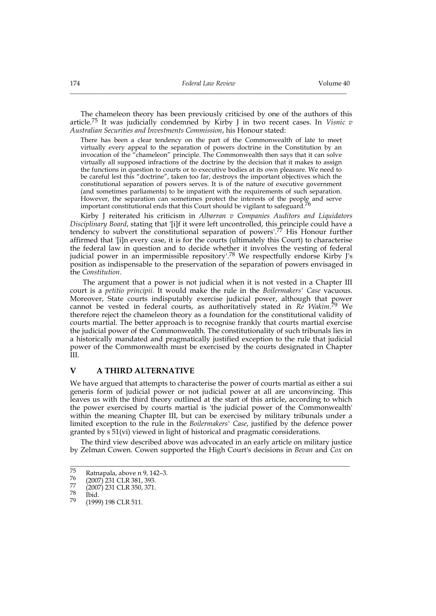The chameleon theory has been previously criticised by one of the authors of this article.<sup>75</sup> It was judicially condemned by Kirby J in two recent cases. In *Visnic v Australian Securities and Investments Commission*, his Honour stated:

There has been a clear tendency on the part of the Commonwealth of late to meet virtually every appeal to the separation of powers doctrine in the Constitution by an invocation of the "chameleon" principle. The Commonwealth then says that it can solve virtually all supposed infractions of the doctrine by the decision that it makes to assign the functions in question to courts or to executive bodies at its own pleasure. We need to be careful lest this "doctrine", taken too far, destroys the important objectives which the constitutional separation of powers serves. It is of the nature of executive government (and sometimes parliaments) to be impatient with the requirements of such separation. However, the separation can sometimes protect the interests of the people and serve important constitutional ends that this Court should be vigilant to safeguard.<sup>76</sup>

Kirby J reiterated his criticism in *Albarran v Companies Auditors and Liquidators Disciplinary Board*, stating that '[i]f it were left uncontrolled, this principle could have a tendency to subvert the constitutional separation of powers'. <sup>77</sup> His Honour further affirmed that '[i]n every case, it is for the courts (ultimately this Court) to characterise the federal law in question and to decide whether it involves the vesting of federal judicial power in an impermissible repository<sup>178</sup> We respectfully endorse Kirby J's position as indispensable to the preservation of the separation of powers envisaged in the *Constitution*.

The argument that a power is not judicial when it is not vested in a Chapter III court is a *petitio principii*. It would make the rule in the *Boilermakers' Case* vacuous. Moreover, State courts indisputably exercise judicial power, although that power cannot be vested in federal courts, as authoritatively stated in *Re Wakim*. <sup>79</sup> We therefore reject the chameleon theory as a foundation for the constitutional validity of courts martial. The better approach is to recognise frankly that courts martial exercise the judicial power of the Commonwealth. The constitutionality of such tribunals lies in a historically mandated and pragmatically justified exception to the rule that judicial power of the Commonwealth must be exercised by the courts designated in Chapter III.

## **V A THIRD ALTERNATIVE**

We have argued that attempts to characterise the power of courts martial as either a sui generis form of judicial power or not judicial power at all are unconvincing. This leaves us with the third theory outlined at the start of this article, according to which the power exercised by courts martial is 'the judicial power of the Commonwealth' within the meaning Chapter III, but can be exercised by military tribunals under a limited exception to the rule in the *Boilermakers' Case*, justified by the defence power granted by s 51(vi) viewed in light of historical and pragmatic considerations.

The third view described above was advocated in an early article on military justice by Zelman Cowen. Cowen supported the High Court's decisions in *Bevan* and *Cox* on

<sup>75</sup> Ratnapala, above n 9, 142–3.<br>76 (2007) 221 CLB 281, 292.

 $^{76}$  (2007) 231 CLR 381, 393.<br>  $^{77}$  (2007) 231 CLR 350, 371

 $^{77}$  (2007) 231 CLR 350, 371.

 $\frac{78}{79}$  Ibid.

<sup>(1999) 198</sup> CLR 511.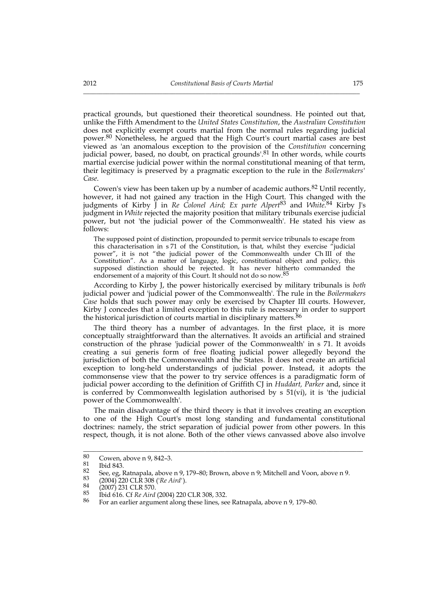practical grounds, but questioned their theoretical soundness. He pointed out that, unlike the Fifth Amendment to the *United States Constitution*, the *Australian Constitution* does not explicitly exempt courts martial from the normal rules regarding judicial power.<sup>80</sup> Nonetheless, he argued that the High Court's court martial cases are best viewed as 'an anomalous exception to the provision of the *Constitution* concerning judicial power, based, no doubt, on practical grounds'.<sup>81</sup> In other words, while courts martial exercise judicial power within the normal constitutional meaning of that term, their legitimacy is preserved by a pragmatic exception to the rule in the *Boilermakers' Case*.

Cowen's view has been taken up by a number of academic authors.<sup>82</sup> Until recently, however, it had not gained any traction in the High Court. This changed with the judgments of Kirby J in *Re Colonel Aird; Ex parte Alpert*<sup>83</sup> and *White*. <sup>84</sup> Kirby J's judgment in *White* rejected the majority position that military tribunals exercise judicial power, but not 'the judicial power of the Commonwealth'. He stated his view as follows:

The supposed point of distinction, propounded to permit service tribunals to escape from this characterisation in s 71 of the Constitution, is that, whilst they exercise "judicial power", it is not "the judicial power of the Commonwealth under Ch III of the Constitution". As a matter of language, logic, constitutional object and policy, this supposed distinction should be rejected. It has never hitherto commanded the endorsement of a majority of this Court. It should not do so now.<sup>85</sup>

According to Kirby J, the power historically exercised by military tribunals is *both* judicial power and 'judicial power of the Commonwealth'. The rule in the *Boilermakers Case* holds that such power may only be exercised by Chapter III courts. However, Kirby J concedes that a limited exception to this rule is necessary in order to support the historical jurisdiction of courts martial in disciplinary matters.<sup>86</sup>

The third theory has a number of advantages. In the first place, it is more conceptually straightforward than the alternatives. It avoids an artificial and strained construction of the phrase 'judicial power of the Commonwealth' in s 71. It avoids creating a sui generis form of free floating judicial power allegedly beyond the jurisdiction of both the Commonwealth and the States. It does not create an artificial exception to long-held understandings of judicial power. Instead, it adopts the commonsense view that the power to try service offences is a paradigmatic form of judicial power according to the definition of Griffith CJ in *Huddart, Parker* and, since it is conferred by Commonwealth legislation authorised by  $s$  51(vi), it is 'the judicial power of the Commonwealth'.

The main disadvantage of the third theory is that it involves creating an exception to one of the High Court's most long standing and fundamental constitutional doctrines: namely, the strict separation of judicial power from other powers. In this respect, though, it is not alone. Both of the other views canvassed above also involve

<sup>80</sup> Cowen, above n 9, 842–3.<br>81 Ibid 843

 $\frac{81}{82}$  Ibid 843.

<sup>82</sup> See, eg, Ratnapala, above n 9, 179–80; Brown, above n 9; Mitchell and Voon, above n 9.<br>83 (2004) 220 CLB 208 (R)  $(1, 4, 4, 1)$ 

<sup>83</sup> (2004) 220 CLR 308 ('*Re Aird'*).

 $\frac{84}{85}$  (2007) 231 CLR 570.

<sup>85</sup> Ibid 616. Cf *Re Aird* (2004) 220 CLR 308, 332.

<sup>86</sup> For an earlier argument along these lines, see Ratnapala, above n 9*,* 179–80.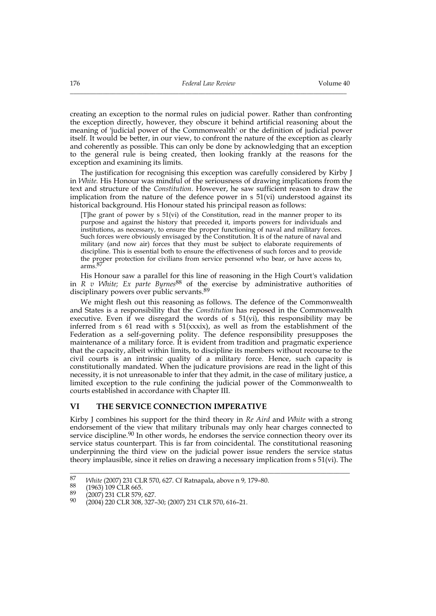creating an exception to the normal rules on judicial power. Rather than confronting the exception directly, however, they obscure it behind artificial reasoning about the meaning of 'judicial power of the Commonwealth' or the definition of judicial power itself. It would be better, in our view, to confront the nature of the exception as clearly and coherently as possible. This can only be done by acknowledging that an exception to the general rule is being created, then looking frankly at the reasons for the exception and examining its limits.

The justification for recognising this exception was carefully considered by Kirby J in *White.* His Honour was mindful of the seriousness of drawing implications from the text and structure of the *Constitution*. However, he saw sufficient reason to draw the implication from the nature of the defence power in  $s$  51(vi) understood against its historical background. His Honour stated his principal reason as follows:

[T]he grant of power by s 51(vi) of the Constitution, read in the manner proper to its purpose and against the history that preceded it, imports powers for individuals and institutions, as necessary, to ensure the proper functioning of naval and military forces. Such forces were obviously envisaged by the Constitution. It is of the nature of naval and military (and now air) forces that they must be subject to elaborate requirements of discipline. This is essential both to ensure the effectiveness of such forces and to provide discipline. This is essential both to ensure the effectiveness of such forces and to provide the proper protection for civilians from service personnel who bear, or have access to, arms.<sup>87</sup>

His Honour saw a parallel for this line of reasoning in the High Court's validation in *R v White; Ex parte Byrnes*<sup>88</sup> of the exercise by administrative authorities of disciplinary powers over public servants.<sup>89</sup>

We might flesh out this reasoning as follows. The defence of the Commonwealth and States is a responsibility that the *Constitution* has reposed in the Commonwealth executive. Even if we disregard the words of s  $51(vi)$ , this responsibility may be inferred from s 61 read with s  $51(xxxix)$ , as well as from the establishment of the Federation as a self-governing polity. The defence responsibility presupposes the maintenance of a military force. It is evident from tradition and pragmatic experience that the capacity, albeit within limits, to discipline its members without recourse to the civil courts is an intrinsic quality of a military force. Hence, such capacity is constitutionally mandated. When the judicature provisions are read in the light of this necessity, it is not unreasonable to infer that they admit, in the case of military justice, a limited exception to the rule confining the judicial power of the Commonwealth to courts established in accordance with Chapter III.

#### **VI THE SERVICE CONNECTION IMPERATIVE**

Kirby J combines his support for the third theory in *Re Aird* and *White* with a strong endorsement of the view that military tribunals may only hear charges connected to service discipline.<sup>90</sup> In other words, he endorses the service connection theory over its service status counterpart. This is far from coincidental. The constitutional reasoning underpinning the third view on the judicial power issue renders the service status theory implausible, since it relies on drawing a necessary implication from s 51(vi). The

<sup>87</sup> *White* (2007) 231 CLR 570, 627. Cf Ratnapala, above n 9*,* 179–80.

 $\frac{88}{89}$  (1963) 109 CLR 665.

 $\frac{89}{20}$  (2007) 231 CLR 579, 627.

<sup>90</sup> (2004) 220 CLR 308, 327–30; (2007) 231 CLR 570, 616–21.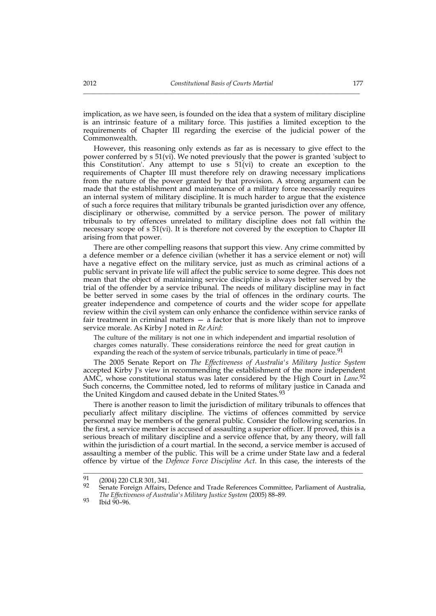implication, as we have seen, is founded on the idea that a system of military discipline is an intrinsic feature of a military force. This justifies a limited exception to the requirements of Chapter III regarding the exercise of the judicial power of the Commonwealth.

However, this reasoning only extends as far as is necessary to give effect to the power conferred by s 51(vi). We noted previously that the power is granted 'subject to this Constitution'. Any attempt to use  $s$  51(vi) to create an exception to the requirements of Chapter III must therefore rely on drawing necessary implications from the nature of the power granted by that provision. A strong argument can be made that the establishment and maintenance of a military force necessarily requires an internal system of military discipline. It is much harder to argue that the existence of such a force requires that military tribunals be granted jurisdiction over any offence, disciplinary or otherwise, committed by a service person. The power of military tribunals to try offences unrelated to military discipline does not fall within the necessary scope of s 51(vi). It is therefore not covered by the exception to Chapter III arising from that power.

There are other compelling reasons that support this view. Any crime committed by a defence member or a defence civilian (whether it has a service element or not) will have a negative effect on the military service, just as much as criminal actions of a public servant in private life will affect the public service to some degree. This does not mean that the object of maintaining service discipline is always better served by the trial of the offender by a service tribunal. The needs of military discipline may in fact be better served in some cases by the trial of offences in the ordinary courts. The greater independence and competence of courts and the wider scope for appellate review within the civil system can only enhance the confidence within service ranks of fair treatment in criminal matters — a factor that is more likely than not to improve service morale. As Kirby J noted in *Re Aird*:

The culture of the military is not one in which independent and impartial resolution of charges comes naturally. These considerations reinforce the need for great caution in expanding the reach of the system of service tribunals, particularly in time of peace.<sup>91</sup>

The 2005 Senate Report on *The Effectiveness of Australia's Military Justice System*  accepted Kirby J's view in recommending the establishment of the more independent AMC, whose constitutional status was later considered by the High Court in *Lane*. 92 Such concerns, the Committee noted, led to reforms of military justice in Canada and the United Kingdom and caused debate in the United States.<sup>93</sup>

There is another reason to limit the jurisdiction of military tribunals to offences that peculiarly affect military discipline. The victims of offences committed by service personnel may be members of the general public. Consider the following scenarios. In the first, a service member is accused of assaulting a superior officer. If proved, this is a serious breach of military discipline and a service offence that, by any theory, will fall within the jurisdiction of a court martial. In the second, a service member is accused of assaulting a member of the public. This will be a crime under State law and a federal offence by virtue of the *Defence Force Discipline Act*. In this case, the interests of the

<sup>91 (2004) 220</sup> CLR 301, 341.<br>92 Conata Foreign Affairs 1

Senate Foreign Affairs, Defence and Trade References Committee, Parliament of Australia, *The Effectiveness of Australia's Military Justice System* (2005) 88–89.

<sup>93</sup> Ibid 90-96.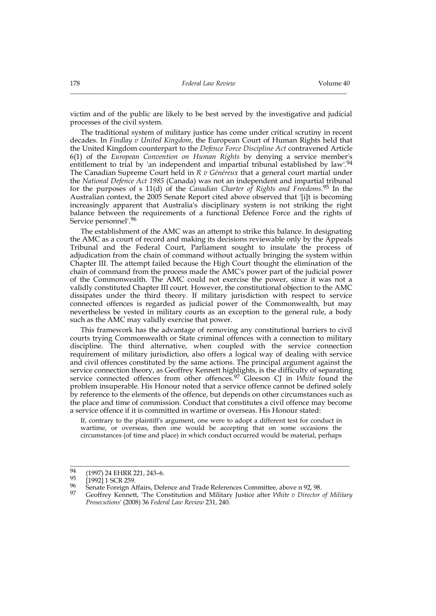victim and of the public are likely to be best served by the investigative and judicial processes of the civil system.

The traditional system of military justice has come under critical scrutiny in recent decades. In *Findlay v United Kingdom*, the European Court of Human Rights held that the United Kingdom counterpart to the *Defence Force Discipline Act* contravened Article 6(1) of the *European Convention on Human Rights* by denying a service member's entitlement to trial by 'an independent and impartial tribunal established by law'.<sup>94</sup> The Canadian Supreme Court held in *R v Généreux* that a general court martial under the *National Defence Act 1985* (Canada) was not an independent and impartial tribunal for the purposes of s 11(d) of the *Canadian Charter of Rights and Freedoms*. <sup>95</sup> In the Australian context, the 2005 Senate Report cited above observed that '[i]t is becoming increasingly apparent that Australia's disciplinary system is not striking the right balance between the requirements of a functional Defence Force and the rights of Service personnel'. 96

The establishment of the AMC was an attempt to strike this balance. In designating the AMC as a court of record and making its decisions reviewable only by the Appeals Tribunal and the Federal Court, Parliament sought to insulate the process of adjudication from the chain of command without actually bringing the system within Chapter III. The attempt failed because the High Court thought the elimination of the chain of command from the process made the AMC's power part of the judicial power of the Commonwealth. The AMC could not exercise the power, since it was not a validly constituted Chapter III court. However, the constitutional objection to the AMC dissipates under the third theory. If military jurisdiction with respect to service connected offences is regarded as judicial power of the Commonwealth, but may nevertheless be vested in military courts as an exception to the general rule, a body such as the AMC may validly exercise that power.

This framework has the advantage of removing any constitutional barriers to civil courts trying Commonwealth or State criminal offences with a connection to military discipline. The third alternative, when coupled with the service connection requirement of military jurisdiction, also offers a logical way of dealing with service and civil offences constituted by the same actions. The principal argument against the service connection theory, as Geoffrey Kennett highlights, is the difficulty of separating service connected offences from other offences.<sup>97</sup> Gleeson CJ in *White* found the problem insuperable. His Honour noted that a service offence cannot be defined solely by reference to the elements of the offence, but depends on other circumstances such as the place and time of commission. Conduct that constitutes a civil offence may become a service offence if it is committed in wartime or overseas. His Honour stated:

If, contrary to the plaintiff's argument, one were to adopt a different test for conduct in wartime, or overseas, then one would be accepting that on some occasions the circumstances (of time and place) in which conduct occurred would be material, perhaps

<sup>94 (1997) 24</sup> EHRR 221, 243-6.

 $^{95}$  [1992] 1 SCR 259.

<sup>96</sup> Senate Foreign Affairs, Defence and Trade References Committee, above n 92, 98.<br>97 Conformation Theoforesity is a population of Military for the Director Director

<sup>97</sup> Geoffrey Kennett, 'The Constitution and Military Justice after *White v Director of Military Prosecutions*' (2008) 36 *Federal Law Review* 231, 240.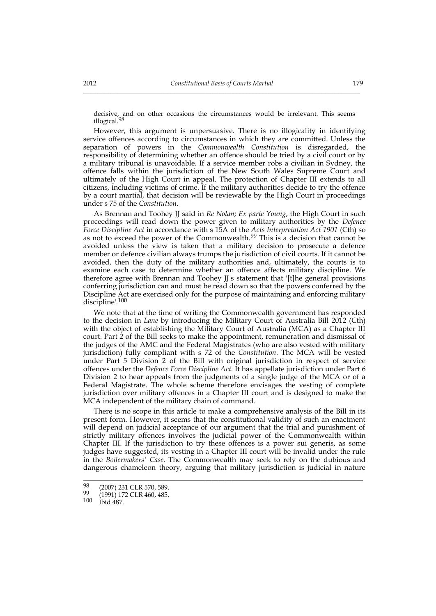decisive, and on other occasions the circumstances would be irrelevant. This seems illogical.98

However, this argument is unpersuasive. There is no illogicality in identifying service offences according to circumstances in which they are committed. Unless the separation of powers in the *Commonwealth Constitution* is disregarded, the responsibility of determining whether an offence should be tried by a civil court or by a military tribunal is unavoidable. If a service member robs a civilian in Sydney, the offence falls within the jurisdiction of the New South Wales Supreme Court and ultimately of the High Court in appeal. The protection of Chapter III extends to all citizens, including victims of crime. If the military authorities decide to try the offence by a court martial, that decision will be reviewable by the High Court in proceedings under s 75 of the *Constitution*.

As Brennan and Toohey JJ said in *Re Nolan; Ex parte Young*, the High Court in such proceedings will read down the power given to military authorities by the *Defence Force Discipline Act* in accordance with s 15A of the *Acts Interpretation Act 1901* (Cth) so as not to exceed the power of the Commonwealth.<sup>99</sup> This is a decision that cannot be avoided unless the view is taken that a military decision to prosecute a defence member or defence civilian always trumps the jurisdiction of civil courts. If it cannot be avoided, then the duty of the military authorities and, ultimately, the courts is to examine each case to determine whether an offence affects military discipline. We therefore agree with Brennan and Toohey JJ's statement that '[t]he general provisions conferring jurisdiction can and must be read down so that the powers conferred by the Discipline Act are exercised only for the purpose of maintaining and enforcing military discipline'. 100

We note that at the time of writing the Commonwealth government has responded to the decision in *Lane* by introducing the Military Court of Australia Bill 2012 (Cth) with the object of establishing the Military Court of Australia (MCA) as a Chapter III court. Part 2 of the Bill seeks to make the appointment, remuneration and dismissal of the judges of the AMC and the Federal Magistrates (who are also vested with military jurisdiction) fully compliant with s 72 of the *Constitution*. The MCA will be vested under Part 5 Division 2 of the Bill with original jurisdiction in respect of service offences under the *Defence Force Discipline Act.* It has appellate jurisdiction under Part 6 Division 2 to hear appeals from the judgments of a single judge of the MCA or of a Federal Magistrate. The whole scheme therefore envisages the vesting of complete jurisdiction over military offences in a Chapter III court and is designed to make the MCA independent of the military chain of command.

There is no scope in this article to make a comprehensive analysis of the Bill in its present form. However, it seems that the constitutional validity of such an enactment will depend on judicial acceptance of our argument that the trial and punishment of strictly military offences involves the judicial power of the Commonwealth within Chapter III. If the jurisdiction to try these offences is a power sui generis, as some judges have suggested, its vesting in a Chapter III court will be invalid under the rule in the *Boilermakers' Case*. The Commonwealth may seek to rely on the dubious and dangerous chameleon theory, arguing that military jurisdiction is judicial in nature

 $\frac{98}{99}$  (2007) 231 CLR 570, 589.

 $^{99}$  (1991) 172 CLR 460, 485.

Ibid 487.